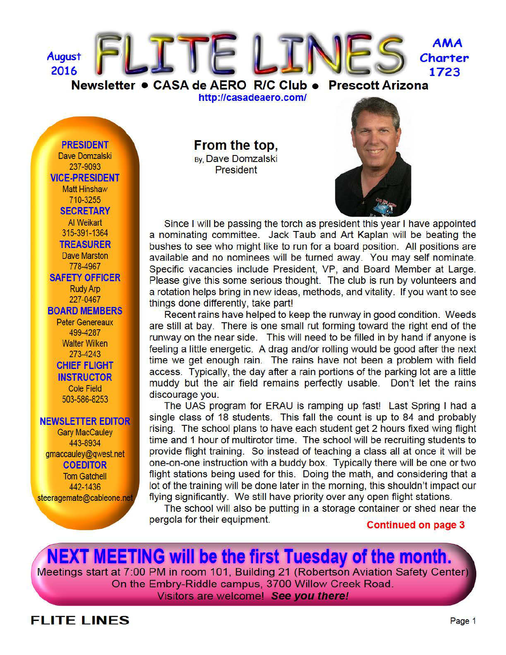

http://casadeaero.com/

**PRESIDENT** Dave Domzalski 237-9093 **VICE-PRESIDENT Matt Hinshaw** 710-3255 **SECRETARY** Al Weikart 315-391-1364 **TREASURER Dave Marston** 778-4967 **SAFETY OFFICER Rudy Arp** 227-0467 **BOARD MEMBERS Peter Genereaux** 499-4287 **Walter Wilken** 273-4243 **CHIEF FLIGHT INSTRUCTOR Cole Field** 503-586-8253

#### **NEWSLETTER EDITOR**

**Gary MacCauley** 443-8934 gmaccauley@gwest.net **COEDITOR Tom Gatchell** 442-1436 steeragemate@cableone.net From the top, By, Dave Domzalski **President** 



Since I will be passing the torch as president this year I have appointed a nominating committee. Jack Taub and Art Kaplan will be beating the bushes to see who might like to run for a board position. All positions are available and no nominees will be turned away. You may self nominate. Specific vacancies include President, VP, and Board Member at Large. Please give this some serious thought. The club is run by volunteers and a rotation helps bring in new ideas, methods, and vitality. If you want to see things done differently, take part!

Recent rains have helped to keep the runway in good condition. Weeds are still at bay. There is one small rut forming toward the right end of the runway on the near side. This will need to be filled in by hand if anyone is feeling a little energetic. A drag and/or rolling would be good after the next time we get enough rain. The rains have not been a problem with field access. Typically, the day after a rain portions of the parking lot are a little muddy but the air field remains perfectly usable. Don't let the rains discourage you.

The UAS program for ERAU is ramping up fast! Last Spring I had a single class of 18 students. This fall the count is up to 84 and probably rising. The school plans to have each student get 2 hours fixed wing flight time and 1 hour of multirotor time. The school will be recruiting students to provide flight training. So instead of teaching a class all at once it will be one-on-one instruction with a buddy box. Typically there will be one or two flight stations being used for this. Doing the math, and considering that a lot of the training will be done later in the morning, this shouldn't impact our flying significantly. We still have priority over any open flight stations.

The school will also be putting in a storage container or shed near the pergola for their equipment.

**Continued on page 3** 

**NEXT MEETING will be the first Tuesday of the month.** Meetings start at 7:00 PM in room 101, Building 21 (Robertson Aviation Safety Center) On the Embry-Riddle campus, 3700 Willow Creek Road. Visitors are welcome! See you there!

## **FLITE LINES**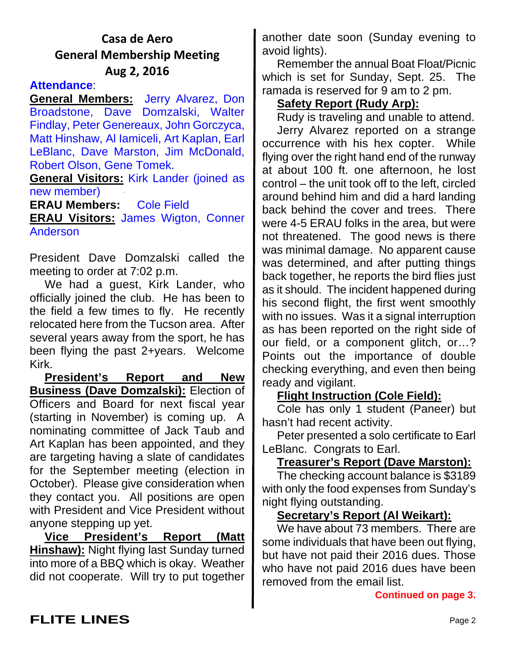## **Casa de Aero General Membership Meeting Aug 2, 2016**

### **Attendance**:

**General Members:** Jerry Alvarez, Don Broadstone, Dave Domzalski, Walter Findlay, Peter Genereaux, John Gorczyca, Matt Hinshaw, Al Iamiceli, Art Kaplan, Earl LeBlanc, Dave Marston, Jim McDonald, Robert Olson, Gene Tomek.

**General Visitors:** Kirk Lander (joined as new member)

**ERAU Members:** Cole Field **ERAU Visitors:** James Wigton, Conner Anderson

President Dave Domzalski called the meeting to order at 7:02 p.m.

We had a guest, Kirk Lander, who officially joined the club. He has been to the field a few times to fly. He recently relocated here from the Tucson area. After several years away from the sport, he has been flying the past 2+years. Welcome Kirk.

**President's Report and New Business (Dave Domzalski):** Election of Officers and Board for next fiscal year (starting in November) is coming up. A nominating committee of Jack Taub and Art Kaplan has been appointed, and they are targeting having a slate of candidates for the September meeting (election in October). Please give consideration when they contact you. All positions are open with President and Vice President without anyone stepping up yet.

**Vice President's Report (Matt Hinshaw):** Night flying last Sunday turned into more of a BBQ which is okay. Weather did not cooperate. Will try to put together another date soon (Sunday evening to avoid lights).

Remember the annual Boat Float/Picnic which is set for Sunday, Sept. 25. The ramada is reserved for 9 am to 2 pm.

## **Safety Report (Rudy Arp):**

Rudy is traveling and unable to attend.

Jerry Alvarez reported on a strange occurrence with his hex copter. While flying over the right hand end of the runway at about 100 ft. one afternoon, he lost control – the unit took off to the left, circled around behind him and did a hard landing back behind the cover and trees. There were 4-5 ERAU folks in the area, but were not threatened. The good news is there was minimal damage. No apparent cause was determined, and after putting things back together, he reports the bird flies just as it should. The incident happened during his second flight, the first went smoothly with no issues. Was it a signal interruption as has been reported on the right side of our field, or a component glitch, or…? Points out the importance of double checking everything, and even then being ready and vigilant.

### **Flight Instruction (Cole Field):**

Cole has only 1 student (Paneer) but hasn't had recent activity.

Peter presented a solo certificate to Earl LeBlanc. Congrats to Earl.

## **Treasurer's Report (Dave Marston):**

The checking account balance is \$3189 with only the food expenses from Sunday's night flying outstanding.

### **Secretary's Report (Al Weikart):**

We have about 73 members. There are some individuals that have been out flying, but have not paid their 2016 dues. Those who have not paid 2016 dues have been removed from the email list.

#### **Continued on page 3.**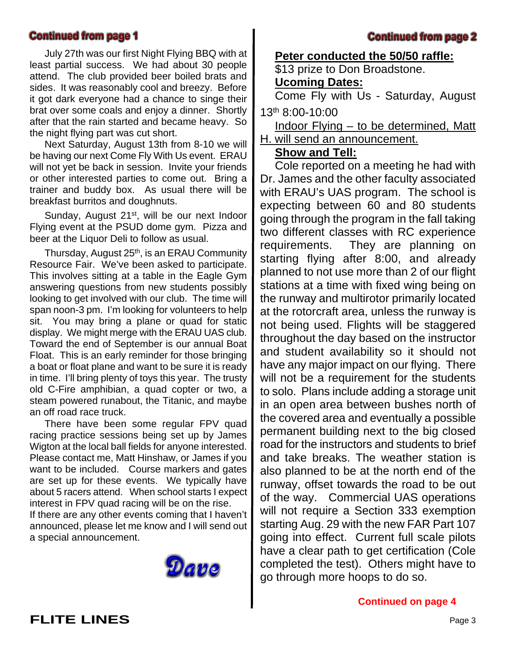#### **Continued from page 1**

July 27th was our first Night Flying BBQ with at least partial success. We had about 30 people attend. The club provided beer boiled brats and sides. It was reasonably cool and breezy. Before it got dark everyone had a chance to singe their brat over some coals and enjoy a dinner. Shortly after that the rain started and became heavy. So the night flying part was cut short.

Next Saturday, August 13th from 8-10 we will be having our next Come Fly With Us event. ERAU will not yet be back in session. Invite your friends or other interested parties to come out. Bring a trainer and buddy box. As usual there will be breakfast burritos and doughnuts.

Sunday, August 21<sup>st</sup>, will be our next Indoor Flying event at the PSUD dome gym. Pizza and beer at the Liquor Deli to follow as usual.

Thursday, August 25<sup>th</sup>, is an ERAU Community Resource Fair. We've been asked to participate. This involves sitting at a table in the Eagle Gym answering questions from new students possibly looking to get involved with our club. The time will span noon-3 pm. I'm looking for volunteers to help sit. You may bring a plane or quad for static display. We might merge with the ERAU UAS club. Toward the end of September is our annual Boat Float. This is an early reminder for those bringing a boat or float plane and want to be sure it is ready in time. I'll bring plenty of toys this year. The trusty old C-Fire amphibian, a quad copter or two, a steam powered runabout, the Titanic, and maybe an off road race truck.

There have been some regular FPV quad racing practice sessions being set up by James Wigton at the local ball fields for anyone interested. Please contact me, Matt Hinshaw, or James if you want to be included. Course markers and gates are set up for these events. We typically have about 5 racers attend. When school starts I expect interest in FPV quad racing will be on the rise.

If there are any other events coming that I haven't announced, please let me know and I will send out a special announcement.



#### **Continued from page 2**

#### **Peter conducted the 50/50 raffle:**

\$13 prize to Don Broadstone.

### **Ucoming Dates:**

Come Fly with Us - Saturday, August 13th 8:00-10:00

Indoor Flying – to be determined, Matt H. will send an announcement.

### **Show and Tell:**

Cole reported on a meeting he had with Dr. James and the other faculty associated with ERAU's UAS program. The school is expecting between 60 and 80 students going through the program in the fall taking two different classes with RC experience requirements. They are planning on starting flying after 8:00, and already planned to not use more than 2 of our flight stations at a time with fixed wing being on the runway and multirotor primarily located at the rotorcraft area, unless the runway is not being used. Flights will be staggered throughout the day based on the instructor and student availability so it should not have any major impact on our flying. There will not be a requirement for the students to solo. Plans include adding a storage unit in an open area between bushes north of the covered area and eventually a possible permanent building next to the big closed road for the instructors and students to brief and take breaks. The weather station is also planned to be at the north end of the runway, offset towards the road to be out of the way. Commercial UAS operations will not require a Section 333 exemption starting Aug. 29 with the new FAR Part 107 going into effect. Current full scale pilots have a clear path to get certification (Cole completed the test). Others might have to go through more hoops to do so.

**Continued on page 4**

**FLITE LINES** Page 3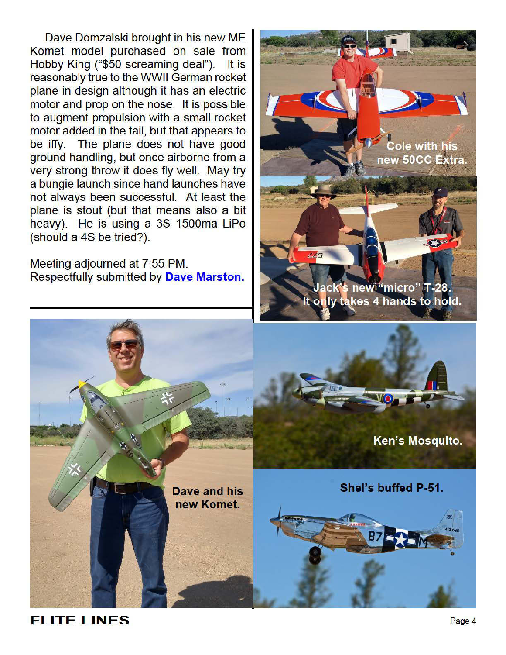Dave Domzalski brought in his new ME Komet model purchased on sale from Hobby King ("\$50 screaming deal"). It is reasonably true to the WWII German rocket plane in design although it has an electric motor and prop on the nose. It is possible to augment propulsion with a small rocket motor added in the tail, but that appears to be iffy. The plane does not have good ground handling, but once airborne from a very strong throw it does fly well. May try a bungie launch since hand launches have not always been successful. At least the plane is stout (but that means also a bit heavy). He is using a 3S 1500ma LiPo (should a 4S be tried?).

Meeting adjourned at 7:55 PM. Respectfully submitted by Dave Marston.

**Cole with his** new 50CC Extra. ack's new "micro" T-28.

only takes 4 hands to hold.

Ken's Mosquito. Shel's buffed P-51. Dave and his new Komet.

## **FLITE LINES**